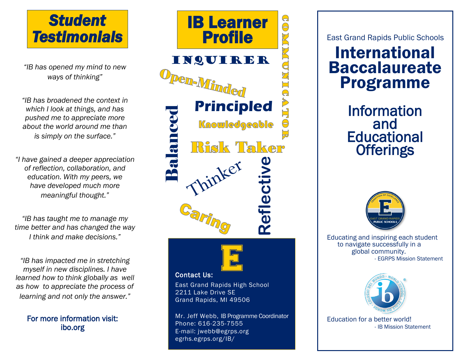

*"IB has opened my mind to new ways of thinking"*

*"IB has broadened the context in which I look at things, and has pushed me to appreciate more about the world around me than is simply on the surface."*

*"I have gained a deeper appreciation of reflection, collaboration, and education. With my peers, we have developed much more meaningful thought."*

*"IB has taught me to manage my time better and has changed the way I think and make decisions."*

*"IB has impacted me in stretching myself in new disciplines. I have learned how to think globally as well as how to appreciate the process of learning and not only the answer."*

For more information visit: ibo.org



Phone: 616-235-7555 E-mail: jwebb@egrps.org egrhs.egrps.org/IB/

East Grand Rapids Public Schools

# International Baccalaureate Programme

Information and **Educational Offerings** 



Educating and inspiring each student to navigate successfully in a global community. - EGRPS Mission Statement



Education for a better world! - IB Mission Statement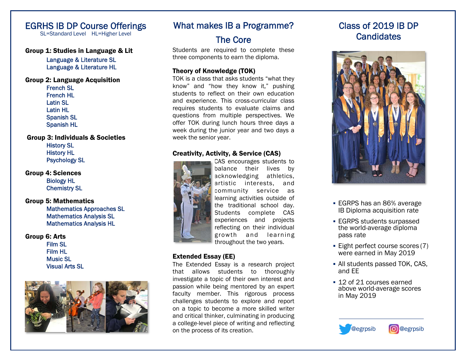## EGRHS IB DP Course Offerings

SL=Standard Level HL=Higher Level

#### Group 1: Studies in Language & Lit

Language & Literature SL Language & Literature HL

#### Group 2: Language Acquisition French SL

 French HL Latin SL Latin HL Spanish SL Spanish HL

Group 3: Individuals & Societies History SL History HL Psychology SL

Group 4: Sciences Biology HL Chemistry SL

Group 5: Mathematics Mathematics Approaches SL Mathematics Analysis SL Mathematics Analysis HL

Group 6: Arts Film SL Film HL Music SL Visual Arts SL



## What makes IB a Programme?

## The Core

Students are required to complete these three components to earn the diploma.

#### Theory of Knowledge (TOK)

TOK is a class that asks students "what they know" and "how they know it," pushing students to reflect on their own education and experience. This cross-curricular class requires students to evaluate claims and questions from multiple perspectives. We offer TOK during lunch hours three days a week during the junior year and two days a week the senior year.

#### Creativity, Activity, & Service (CAS)



CAS encourages students to balance their lives by acknowledging athletics, artistic interests, and community service as learning activities outside of the traditional school day. Students complete CAS experiences and projects reflecting on their individual growth and learning throughout the two years.

#### Extended Essay (EE)

The Extended Essay is a research project that allows students to thoroughly investigate a topic of their own interest and passion while being mentored by an expert faculty member. This rigorous process challenges students to explore and report on a topic to become a more skilled writer and critical thinker, culminating in producing a college-level piece of writing and reflecting on the process of its creation.

# Class of 2019 IB DP **Candidates**



- **EGRPS has an 86% average** IB Diploma acquisition rate
- EGRPS students surpassed the world-average diploma pass rate
- **Eight perfect course scores (7)** were earned in May 2019
- All students passed TOK, CAS, and EE
- 12 of 21 courses earned above world-average scores in May 2019